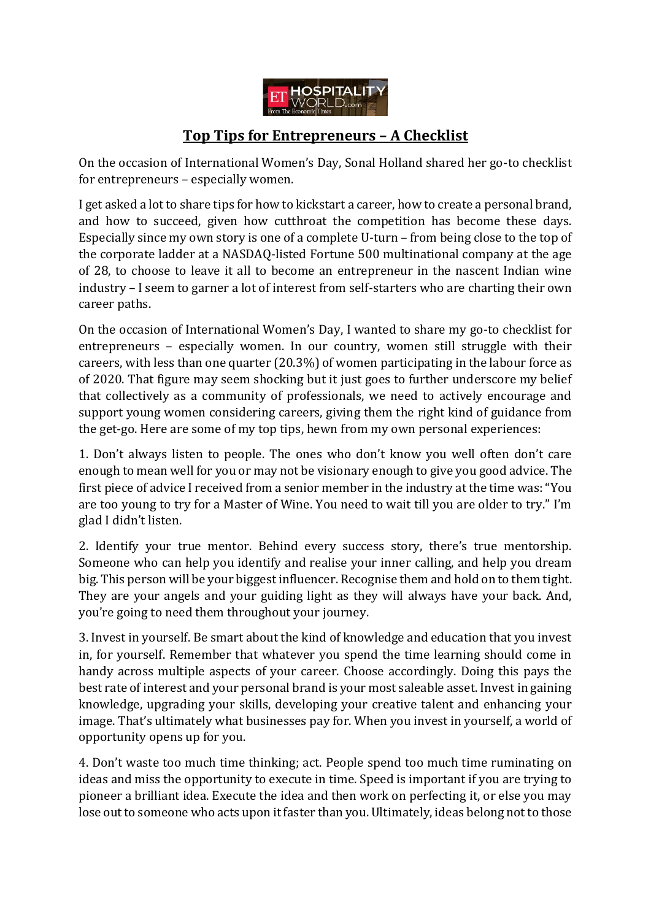

## **Top Tips for Entrepreneurs – A Checklist**

On the occasion of International Women's Day, Sonal Holland shared her go-to checklist for entrepreneurs – especially women.

I get asked a lot to share tips for how to kickstart a career, how to create a personal brand, and how to succeed, given how cutthroat the competition has become these days. Especially since my own story is one of a complete U-turn – from being close to the top of the corporate ladder at a NASDAQ-listed Fortune 500 multinational company at the age of 28, to choose to leave it all to become an entrepreneur in the nascent Indian wine industry – I seem to garner a lot of interest from self-starters who are charting their own career paths.

On the occasion of International Women's Day, I wanted to share my go-to checklist for entrepreneurs – especially women. In our country, women still struggle with their careers, with less than one quarter (20.3%) of women participating in the labour force as of 2020. That figure may seem shocking but it just goes to further underscore my belief that collectively as a community of professionals, we need to actively encourage and support young women considering careers, giving them the right kind of guidance from the get-go. Here are some of my top tips, hewn from my own personal experiences:

1. Don't always listen to people. The ones who don't know you well often don't care enough to mean well for you or may not be visionary enough to give you good advice. The first piece of advice I received from a senior member in the industry at the time was: "You are too young to try for a Master of Wine. You need to wait till you are older to try." I'm glad I didn't listen.

2. Identify your true mentor. Behind every success story, there's true mentorship. Someone who can help you identify and realise your inner calling, and help you dream big. This person will be your biggest influencer. Recognise them and hold on to them tight. They are your angels and your guiding light as they will always have your back. And, you're going to need them throughout your journey.

3. Invest in yourself. Be smart about the kind of knowledge and education that you invest in, for yourself. Remember that whatever you spend the time learning should come in handy across multiple aspects of your career. Choose accordingly. Doing this pays the best rate of interest and your personal brand is your most saleable asset. Invest in gaining knowledge, upgrading your skills, developing your creative talent and enhancing your image. That's ultimately what businesses pay for. When you invest in yourself, a world of opportunity opens up for you.

4. Don't waste too much time thinking; act. People spend too much time ruminating on ideas and miss the opportunity to execute in time. Speed is important if you are trying to pioneer a brilliant idea. Execute the idea and then work on perfecting it, or else you may lose out to someone who acts upon it faster than you. Ultimately, ideas belong not to those